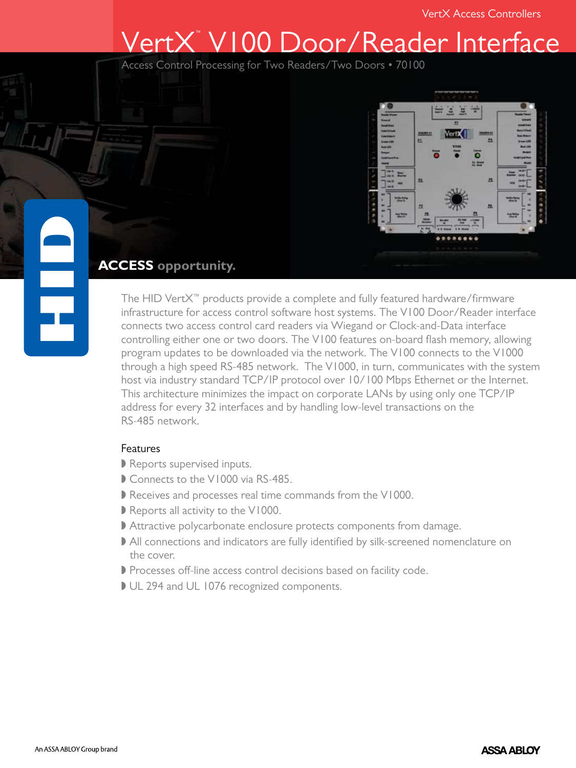# VertX™ V100 Door/Reader Interface

Access Control Processing for Two Readers/Two Doors • 70100



# **ACCESS opportunity.**

The HID VertX™ products provide a complete and fully featured hardware/firmware infrastructure for access control software host systems. The V100 Door/Reader interface connects two access control card readers via Wiegand or Clock-and-Data interface controlling either one or two doors. The V100 features on-board flash memory, allowing program updates to be downloaded via the network. The V100 connects to the V1000 through a high speed RS-485 network. The V1000, in turn, communicates with the system host via industry standard TCP/IP protocol over 10/100 Mbps Ethernet or the Internet. This architecture minimizes the impact on corporate LANs by using only one TCP/IP address for every 32 interfaces and by handling low-level transactions on the RS-485 network.

## **Features**

- Reports supervised inputs.
- Connects to the V1000 via RS-485.
- Receives and processes real time commands from the V1000.
- Reports all activity to the V1000.
- Attractive polycarbonate enclosure protects components from damage.
- All connections and indicators are fully identified by silk-screened nomenclature on the cover.
- Processes off-line access control decisions based on facility code.
- UL 294 and UL 1076 recognized components.